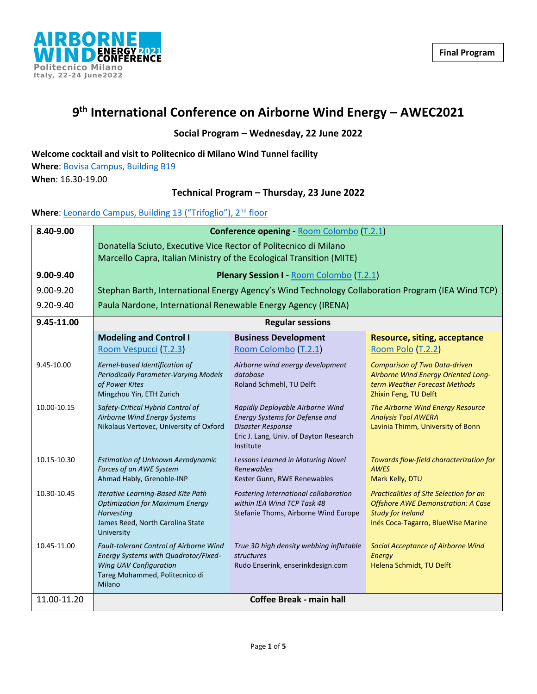

# **9 th International Conference on Airborne Wind Energy – AWEC2021**

### **Social Program – Wednesday, 22 June 2022**

#### **Welcome cocktail and visit to Politecnico di Milano Wind Tunnel facility**

**Where**: [Bovisa Campus, Building B19](https://www.windtunnel.polimi.it/new-how-to-reach-us/) **When**: 16.30-19.00

#### **Technical Program – Thursday, 23 June 2022**

# Where: [Leonardo Campus, Building 13 \("Trifoglio"\), 2](https://www.google.com/maps/place/Edificio+13+(Trifoglio),+Politecnico+di+Milano/@45.4797189,9.2281733,19z/data=!4m5!3m4!1s0x0:0x7b80ebeb99531e2d!8m2!3d45.4800162!4d9.2282297)<sup>nd</sup> floor

| 8.40-9.00     | <b>Conference opening - Room Colombo (T.2.1)</b>                                                                                                      |                                                                                                                                                       |                                                                                                                                                        |
|---------------|-------------------------------------------------------------------------------------------------------------------------------------------------------|-------------------------------------------------------------------------------------------------------------------------------------------------------|--------------------------------------------------------------------------------------------------------------------------------------------------------|
|               | Donatella Sciuto, Executive Vice Rector of Politecnico di Milano<br>Marcello Capra, Italian Ministry of the Ecological Transition (MITE)              |                                                                                                                                                       |                                                                                                                                                        |
| 9.00-9.40     | <b>Plenary Session I - Room Colombo (T.2.1)</b>                                                                                                       |                                                                                                                                                       |                                                                                                                                                        |
| $9.00 - 9.20$ | Stephan Barth, International Energy Agency's Wind Technology Collaboration Program (IEA Wind TCP)                                                     |                                                                                                                                                       |                                                                                                                                                        |
| 9.20-9.40     | Paula Nardone, International Renewable Energy Agency (IRENA)                                                                                          |                                                                                                                                                       |                                                                                                                                                        |
| 9.45-11.00    | <b>Regular sessions</b>                                                                                                                               |                                                                                                                                                       |                                                                                                                                                        |
|               | <b>Modeling and Control I</b><br>Room Vespucci (T.2.3)                                                                                                | <b>Business Development</b><br>Room Colombo (T.2.1)                                                                                                   | <b>Resource, siting, acceptance</b><br>Room Polo (T.2.2)                                                                                               |
| 9.45-10.00    | Kernel-based Identification of<br><b>Periodically Parameter-Varying Models</b><br>of Power Kites<br>Mingzhou Yin, ETH Zurich                          | Airborne wind energy development<br>database<br>Roland Schmehl, TU Delft                                                                              | <b>Comparison of Two Data-driven</b><br>Airborne Wind Energy Oriented Long-<br>term Weather Forecast Methods<br>Zhixin Feng, TU Delft                  |
| 10.00-10.15   | Safety-Critical Hybrid Control of<br>Airborne Wind Energy Systems<br>Nikolaus Vertovec, University of Oxford                                          | Rapidly Deployable Airborne Wind<br>Energy Systems for Defense and<br><b>Disaster Response</b><br>Eric J. Lang, Univ. of Dayton Research<br>Institute | The Airborne Wind Energy Resource<br><b>Analysis Tool AWERA</b><br>Lavinia Thimm, University of Bonn                                                   |
| 10.15-10.30   | <b>Estimation of Unknown Aerodynamic</b><br>Forces of an AWE System<br>Ahmad Hably, Grenoble-INP                                                      | Lessons Learned in Maturing Novel<br><b>Renewables</b><br>Kester Gunn, RWE Renewables                                                                 | Towards flow-field characterization for<br><b>AWES</b><br>Mark Kelly, DTU                                                                              |
| 10.30-10.45   | Iterative Learning-Based Kite Path<br><b>Optimization for Maximum Energy</b><br><b>Harvesting</b><br>James Reed, North Carolina State<br>University   | Fostering International collaboration<br>within IEA Wind TCP Task 48<br>Stefanie Thoms, Airborne Wind Europe                                          | Practicalities of Site Selection for an<br><b>Offshore AWE Demonstration: A Case</b><br><b>Study for Ireland</b><br>Inés Coca-Tagarro, BlueWise Marine |
| 10.45-11.00   | Fault-tolerant Control of Airborne Wind<br>Energy Systems with Quadrotor/Fixed-<br>Wing UAV Configuration<br>Tareg Mohammed, Politecnico di<br>Milano | True 3D high density webbing inflatable<br><i>structures</i><br>Rudo Enserink, enserinkdesign.com                                                     | Social Acceptance of Airborne Wind<br><b>Energy</b><br>Helena Schmidt, TU Delft                                                                        |
| 11.00-11.20   | <b>Coffee Break - main hall</b>                                                                                                                       |                                                                                                                                                       |                                                                                                                                                        |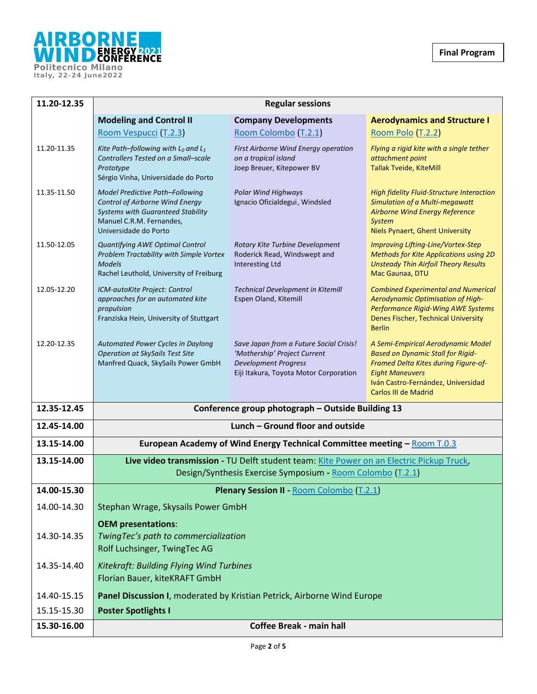

| 11.20-12.35 | <b>Regular sessions</b>                                                                                                                                                    |                                                                                                                                                  |                                                                                                                                                                                                                |
|-------------|----------------------------------------------------------------------------------------------------------------------------------------------------------------------------|--------------------------------------------------------------------------------------------------------------------------------------------------|----------------------------------------------------------------------------------------------------------------------------------------------------------------------------------------------------------------|
|             | <b>Modeling and Control II</b>                                                                                                                                             | <b>Company Developments</b>                                                                                                                      | <b>Aerodynamics and Structure I</b>                                                                                                                                                                            |
|             | Room Vespucci (T.2.3)                                                                                                                                                      | Room Colombo (T.2.1)                                                                                                                             | Room Polo (T.2.2)                                                                                                                                                                                              |
| 11.20-11.35 | Kite Path-following with $L_0$ and $L_1$<br>Controllers Tested on a Small-scale<br>Prototype<br>Sérgio Vinha, Universidade do Porto                                        | First Airborne Wind Energy operation<br>on a tropical island<br>Joep Breuer, Kitepower BV                                                        | Flying a rigid kite with a single tether<br>attachment point<br>Tallak Tveide, KiteMill                                                                                                                        |
| 11.35-11.50 | Model Predictive Path-Following<br><b>Control of Airborne Wind Energy</b><br><b>Systems with Guaranteed Stability</b><br>Manuel C.R.M. Fernandes,<br>Universidade do Porto | <b>Polar Wind Highways</b><br>Ignacio Oficialdegui, Windsled                                                                                     | High fidelity Fluid-Structure Interaction<br><b>Simulation of a Multi-megawatt</b><br>Airborne Wind Energy Reference<br><b>System</b><br>Niels Pynaert, Ghent University                                       |
| 11.50-12.05 | Quantifying AWE Optimal Control<br>Problem Tractability with Simple Vortex<br><b>Models</b><br>Rachel Leuthold, University of Freiburg                                     | Rotary Kite Turbine Development<br>Roderick Read, Windswept and<br>Interesting Ltd                                                               | Improving Lifting-Line/Vortex-Step<br><b>Methods for Kite Applications using 2D</b><br><b>Unsteady Thin Airfoil Theory Results</b><br>Mac Gaunaa, DTU                                                          |
| 12.05-12.20 | ICM-autoKite Project: Control<br>approaches for an automated kite<br>propulsion<br>Franziska Hein, University of Stuttgart                                                 | Technical Development in Kitemill<br>Espen Oland, Kitemill                                                                                       | <b>Combined Experimental and Numerical</b><br>Aerodynamic Optimisation of High-<br>Performance Rigid-Wing AWE Systems<br>Denes Fischer, Technical University<br><b>Berlin</b>                                  |
| 12.20-12.35 | Automated Power Cycles in Daylong<br><b>Operation at SkySails Test Site</b><br>Manfred Quack, SkySails Power GmbH                                                          | Save Japan from a Future Social Crisis!<br>'Mothership' Project Current<br><b>Development Progress</b><br>Eiji Itakura, Toyota Motor Corporation | A Semi-Empirical Aerodynamic Model<br><b>Based on Dynamic Stall for Rigid-</b><br>Framed Delta Kites during Figure-of-<br><b>Eight Maneuvers</b><br>Iván Castro-Fernández, Universidad<br>Carlos III de Madrid |
| 12.35-12.45 | Conference group photograph - Outside Building 13                                                                                                                          |                                                                                                                                                  |                                                                                                                                                                                                                |
| 12.45-14.00 | Lunch - Ground floor and outside                                                                                                                                           |                                                                                                                                                  |                                                                                                                                                                                                                |
| 13.15-14.00 |                                                                                                                                                                            | European Academy of Wind Energy Technical Committee meeting - Room T.0.3                                                                         |                                                                                                                                                                                                                |
| 13.15-14.00 | Live video transmission - TU Delft student team: Kite Power on an Electric Pickup Truck,<br>Design/Synthesis Exercise Symposium - Room Colombo (T.2.1)                     |                                                                                                                                                  |                                                                                                                                                                                                                |
| 14.00-15.30 | Plenary Session II - Room Colombo (T.2.1)                                                                                                                                  |                                                                                                                                                  |                                                                                                                                                                                                                |
| 14.00-14.30 | Stephan Wrage, Skysails Power GmbH                                                                                                                                         |                                                                                                                                                  |                                                                                                                                                                                                                |
| 14.30-14.35 | <b>OEM presentations:</b><br>TwingTec's path to commercialization<br>Rolf Luchsinger, TwingTec AG                                                                          |                                                                                                                                                  |                                                                                                                                                                                                                |
| 14.35-14.40 | Kitekraft: Building Flying Wind Turbines<br>Florian Bauer, kiteKRAFT GmbH                                                                                                  |                                                                                                                                                  |                                                                                                                                                                                                                |
| 14.40-15.15 | Panel Discussion I, moderated by Kristian Petrick, Airborne Wind Europe                                                                                                    |                                                                                                                                                  |                                                                                                                                                                                                                |
| 15.15-15.30 | <b>Poster Spotlights I</b>                                                                                                                                                 |                                                                                                                                                  |                                                                                                                                                                                                                |
| 15.30-16.00 | <b>Coffee Break - main hall</b>                                                                                                                                            |                                                                                                                                                  |                                                                                                                                                                                                                |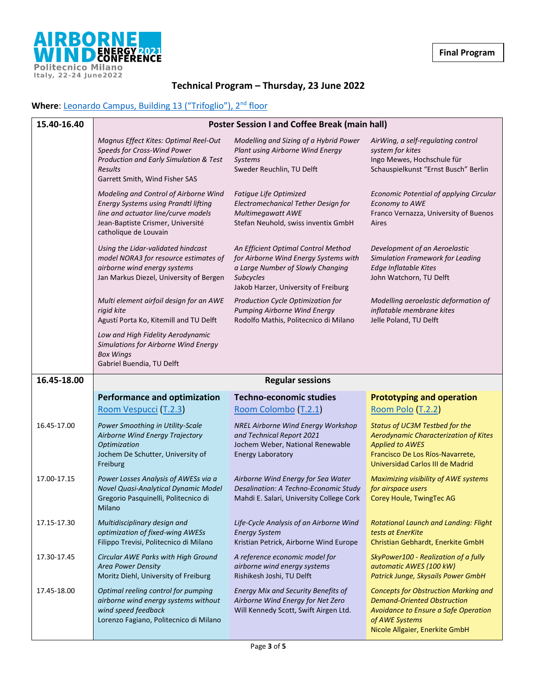

# **Technical Program – Thursday, 23 June 2022**

# Where: [Leonardo Campus, Building 13 \("Trifoglio"\), 2](https://www.google.com/maps/place/Edificio+13+(Trifoglio),+Politecnico+di+Milano/@45.4797189,9.2281733,19z/data=!4m5!3m4!1s0x0:0x7b80ebeb99531e2d!8m2!3d45.4800162!4d9.2282297)<sup>nd</sup> floor

| 15.40-16.40 | <b>Poster Session I and Coffee Break (main hall)</b>                                                                                                                                      |                                                                                                                                                                               |                                                                                                                                                                               |
|-------------|-------------------------------------------------------------------------------------------------------------------------------------------------------------------------------------------|-------------------------------------------------------------------------------------------------------------------------------------------------------------------------------|-------------------------------------------------------------------------------------------------------------------------------------------------------------------------------|
|             | Magnus Effect Kites: Optimal Reel-Out<br>Speeds for Cross-Wind Power<br>Production and Early Simulation & Test<br><b>Results</b><br>Garrett Smith, Wind Fisher SAS                        | Modelling and Sizing of a Hybrid Power<br>Plant using Airborne Wind Energy<br>Systems<br>Sweder Reuchlin, TU Delft                                                            | AirWing, a self-regulating control<br>system for kites<br>Ingo Mewes, Hochschule für<br>Schauspielkunst "Ernst Busch" Berlin                                                  |
|             | Modeling and Control of Airborne Wind<br><b>Energy Systems using Prandtl lifting</b><br>line and actuator line/curve models<br>Jean-Baptiste Crismer, Université<br>catholique de Louvain | Fatigue Life Optimized<br>Electromechanical Tether Design for<br>Multimegawatt AWE<br>Stefan Neuhold, swiss inventix GmbH                                                     | Economic Potential of applying Circular<br>Economy to AWE<br>Franco Vernazza, University of Buenos<br>Aires                                                                   |
|             | Using the Lidar-validated hindcast<br>model NORA3 for resource estimates of<br>airborne wind energy systems<br>Jan Markus Diezel, University of Bergen                                    | An Efficient Optimal Control Method<br>for Airborne Wind Energy Systems with<br>a Large Number of Slowly Changing<br><b>Subcycles</b><br>Jakob Harzer, University of Freiburg | Development of an Aeroelastic<br>Simulation Framework for Leading<br>Edge Inflatable Kites<br>John Watchorn, TU Delft                                                         |
|             | Multi element airfoil design for an AWE<br>rigid kite<br>Agustí Porta Ko, Kitemill and TU Delft                                                                                           | Production Cycle Optimization for<br><b>Pumping Airborne Wind Energy</b><br>Rodolfo Mathis, Politecnico di Milano                                                             | Modelling aeroelastic deformation of<br>inflatable membrane kites<br>Jelle Poland, TU Delft                                                                                   |
|             | Low and High Fidelity Aerodynamic<br>Simulations for Airborne Wind Energy<br><b>Box Wings</b><br>Gabriel Buendia, TU Delft                                                                |                                                                                                                                                                               |                                                                                                                                                                               |
| 16.45-18.00 |                                                                                                                                                                                           | <b>Regular sessions</b>                                                                                                                                                       |                                                                                                                                                                               |
|             | <b>Performance and optimization</b>                                                                                                                                                       | <b>Techno-economic studies</b>                                                                                                                                                | <b>Prototyping and operation</b>                                                                                                                                              |
|             | Room Vespucci (T.2.3)                                                                                                                                                                     | Room Colombo (T.2.1)                                                                                                                                                          | Room Polo (T.2.2)                                                                                                                                                             |
| 16.45-17.00 | Power Smoothing in Utility-Scale<br>Airborne Wind Energy Trajectory<br>Optimization<br>Jochem De Schutter, University of<br>Freiburg                                                      | NREL Airborne Wind Energy Workshop<br>and Technical Report 2021<br>Jochem Weber, National Renewable<br><b>Energy Laboratory</b>                                               | Status of UC3M Testbed for the<br>Aerodynamic Characterization of Kites<br><b>Applied to AWES</b><br>Francisco De Los Ríos-Navarrete,<br>Universidad Carlos III de Madrid     |
| 17.00-17.15 | Power Losses Analysis of AWESs via a<br>Novel Quasi-Analytical Dynamic Model<br>Gregorio Pasquinelli, Politecnico di<br>Milano                                                            | Airborne Wind Energy for Sea Water<br>Desalination: A Techno-Economic Study<br>Mahdi E. Salari, University College Cork                                                       | Maximizing visibility of AWE systems<br>for airspace users<br>Corey Houle, TwingTec AG                                                                                        |
| 17.15-17.30 | Multidisciplinary design and<br>optimization of fixed-wing AWESs<br>Filippo Trevisi, Politecnico di Milano                                                                                | Life-Cycle Analysis of an Airborne Wind<br><b>Energy System</b><br>Kristian Petrick, Airborne Wind Europe                                                                     | <b>Rotational Launch and Landing: Flight</b><br>tests at EnerKite<br>Christian Gebhardt, Enerkite GmbH                                                                        |
| 17.30-17.45 | Circular AWE Parks with High Ground<br><b>Area Power Density</b><br>Moritz Diehl, University of Freiburg                                                                                  | A reference economic model for<br>airborne wind energy systems<br>Rishikesh Joshi, TU Delft                                                                                   | SkyPower100 - Realization of a fully<br>automatic AWES (100 kW)<br>Patrick Junge, Skysails Power GmbH                                                                         |
| 17.45-18.00 | Optimal reeling control for pumping<br>airborne wind energy systems without<br>wind speed feedback<br>Lorenzo Fagiano, Politecnico di Milano                                              | Energy Mix and Security Benefits of<br>Airborne Wind Energy for Net Zero<br>Will Kennedy Scott, Swift Airgen Ltd.                                                             | <b>Concepts for Obstruction Marking and</b><br><b>Demand-Oriented Obstruction</b><br>Avoidance to Ensure a Safe Operation<br>of AWE Systems<br>Nicole Allgaier, Enerkite GmbH |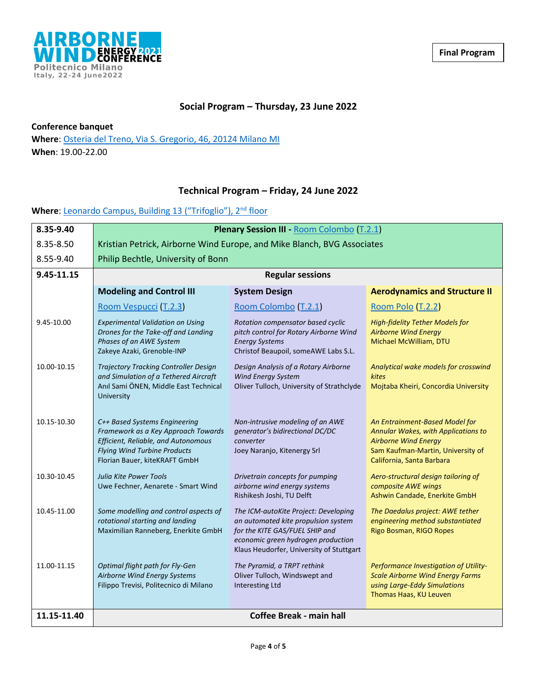

### **Social Program – Thursday, 23 June 2022**

**Conference banquet**

**Where**: Osteria del Treno, [Via S. Gregorio, 46, 20124 Milano MI](https://www.google.com/maps/dir/Edificio+13+(Trifoglio),+Politecnico+di+Milano,+Trifoglio,+Via+Edoardo+Bonardi,+Milano,+MI/Osteria+del+Treno,+Via+S.+Gregorio,+46,+20124+Milano+MI/@45.4808194,9.2075175,15.75z/data=!4m14!4m13!1m5!1m1!1s0x4786c6f13e309441:0x7b80ebeb99531e2d!2m2!1d9.2282297!2d45.4800162!1m5!1m1!1s0x4786c6c5f9604327:0xbb7269cdf1051d02!2m2!1d9.2011711!2d45.4812254!3e3) **When**: 19.00-22.00

### **Technical Program – Friday, 24 June 2022**

### Where: [Leonardo Campus, Building 13 \("Trifoglio"\), 2](https://www.google.com/maps/place/Edificio+13+(Trifoglio),+Politecnico+di+Milano/@45.4797189,9.2281733,19z/data=!4m5!3m4!1s0x0:0x7b80ebeb99531e2d!8m2!3d45.4800162!4d9.2282297)<sup>nd</sup> floor

| 8.35-9.40   | Plenary Session III - Room Colombo (T.2.1)                                                                                                                                          |                                                                                                                                                                                                 |                                                                                                                                                                        |
|-------------|-------------------------------------------------------------------------------------------------------------------------------------------------------------------------------------|-------------------------------------------------------------------------------------------------------------------------------------------------------------------------------------------------|------------------------------------------------------------------------------------------------------------------------------------------------------------------------|
| 8.35-8.50   | Kristian Petrick, Airborne Wind Europe, and Mike Blanch, BVG Associates                                                                                                             |                                                                                                                                                                                                 |                                                                                                                                                                        |
| 8.55-9.40   | Philip Bechtle, University of Bonn                                                                                                                                                  |                                                                                                                                                                                                 |                                                                                                                                                                        |
| 9.45-11.15  | <b>Regular sessions</b>                                                                                                                                                             |                                                                                                                                                                                                 |                                                                                                                                                                        |
|             | <b>Modeling and Control III</b>                                                                                                                                                     | <b>System Design</b>                                                                                                                                                                            | <b>Aerodynamics and Structure II</b>                                                                                                                                   |
|             | Room Vespucci (T.2.3)                                                                                                                                                               | Room Colombo (T.2.1)                                                                                                                                                                            | Room Polo (T.2.2)                                                                                                                                                      |
| 9.45-10.00  | <b>Experimental Validation on Using</b><br>Drones for the Take-off and Landing<br>Phases of an AWE System<br>Zakeye Azaki, Grenoble-INP                                             | Rotation compensator based cyclic<br>pitch control for Rotary Airborne Wind<br><b>Energy Systems</b><br>Christof Beaupoil, someAWE Labs S.L.                                                    | <b>High-fidelity Tether Models for</b><br><b>Airborne Wind Energy</b><br>Michael McWilliam, DTU                                                                        |
| 10.00-10.15 | Trajectory Tracking Controller Design<br>and Simulation of a Tethered Aircraft<br>Anıl Sami ÖNEN, Middle East Technical<br>University                                               | Design Analysis of a Rotary Airborne<br>Wind Energy System<br>Oliver Tulloch, University of Strathclyde                                                                                         | Analytical wake models for crosswind<br>kites<br>Mojtaba Kheiri, Concordia University                                                                                  |
| 10.15-10.30 | C++ Based Systems Engineering<br>Framework as a Key Approach Towards<br>Efficient, Reliable, and Autonomous<br><b>Flying Wind Turbine Products</b><br>Florian Bauer, kiteKRAFT GmbH | Non-intrusive modeling of an AWE<br>generator's bidirectional DC/DC<br>converter<br>Joey Naranjo, Kitenergy Srl                                                                                 | An Entrainment-Based Model for<br>Annular Wakes, with Applications to<br><b>Airborne Wind Energy</b><br>Sam Kaufman-Martin, University of<br>California, Santa Barbara |
| 10.30-10.45 | <b>Julia Kite Power Tools</b><br>Uwe Fechner, Aenarete - Smart Wind                                                                                                                 | Drivetrain concepts for pumping<br>airborne wind energy systems<br>Rishikesh Joshi, TU Delft                                                                                                    | Aero-structural design tailoring of<br>composite AWE wings<br>Ashwin Candade, Enerkite GmbH                                                                            |
| 10.45-11.00 | Some modelling and control aspects of<br>rotational starting and landing<br>Maximilian Ranneberg, Enerkite GmbH                                                                     | The ICM-autoKite Project: Developing<br>an automated kite propulsion system<br>for the KITE GAS/FUEL SHIP and<br>economic green hydrogen production<br>Klaus Heudorfer, University of Stuttgart | The Daedalus project: AWE tether<br>engineering method substantiated<br>Rigo Bosman, RIGO Ropes                                                                        |
| 11.00-11.15 | Optimal flight path for Fly-Gen<br>Airborne Wind Energy Systems<br>Filippo Trevisi, Politecnico di Milano                                                                           | The Pyramid, a TRPT rethink<br>Oliver Tulloch, Windswept and<br><b>Interesting Ltd</b>                                                                                                          | Performance Investigation of Utility-<br><b>Scale Airborne Wind Energy Farms</b><br>using Large-Eddy Simulations<br>Thomas Haas, KU Leuven                             |
| 11.15-11.40 | <b>Coffee Break - main hall</b>                                                                                                                                                     |                                                                                                                                                                                                 |                                                                                                                                                                        |